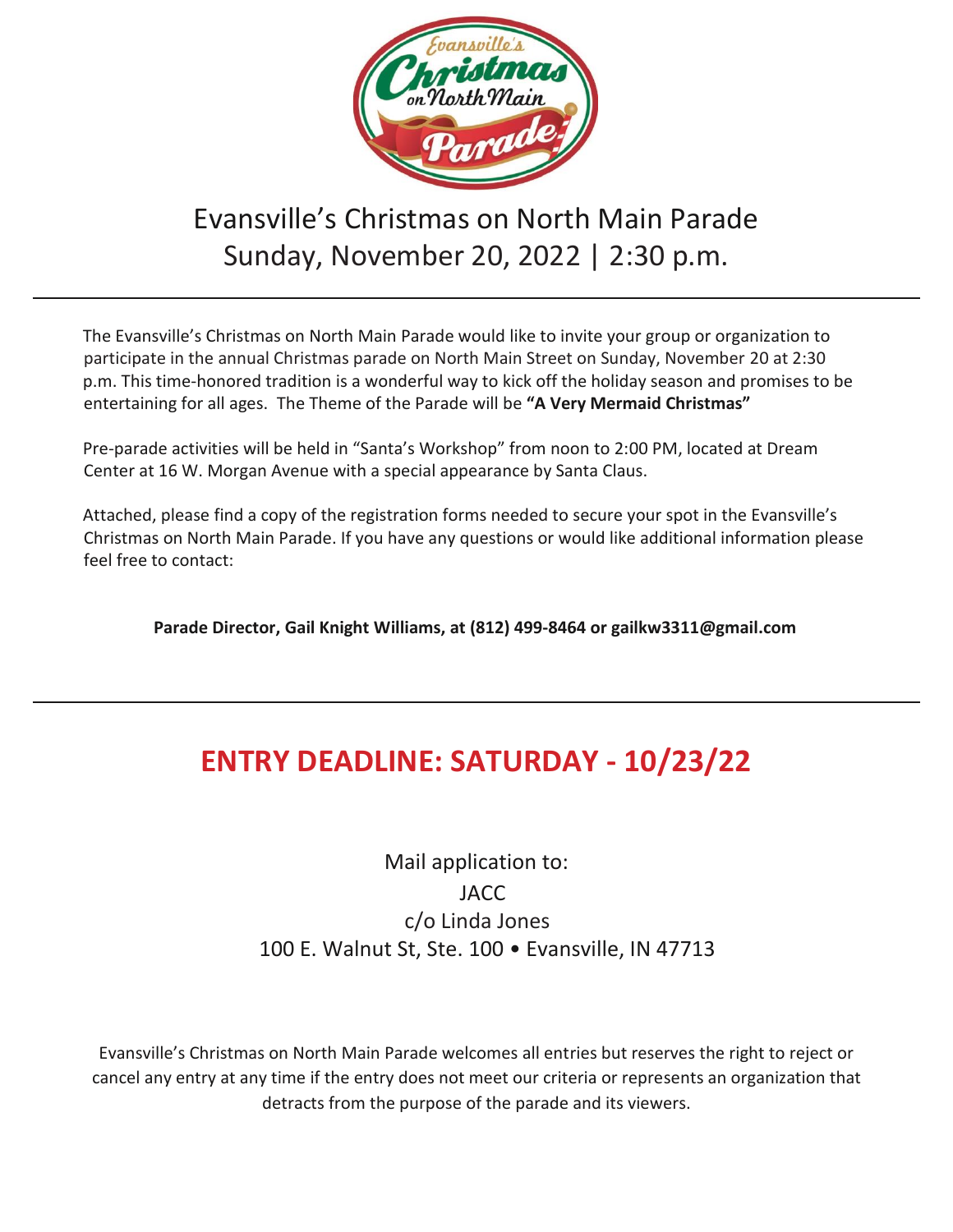

# Evansville's Christmas on North Main Parade Sunday, November 20, 2022 | 2:30 p.m.

The Evansville's Christmas on North Main Parade would like to invite your group or organization to participate in the annual Christmas parade on North Main Street on Sunday, November 20 at 2:30 p.m. This time-honored tradition is a wonderful way to kick off the holiday season and promises to be entertaining for all ages. The Theme of the Parade will be **"A Very Mermaid Christmas"**

Pre-parade activities will be held in "Santa's Workshop" from noon to 2:00 PM, located at Dream Center at 16 W. Morgan Avenue with a special appearance by Santa Claus.

Attached, please find a copy of the registration forms needed to secure your spot in the Evansville's Christmas on North Main Parade. If you have any questions or would like additional information please feel free to contact:

**Parade Director, Gail Knight Williams, at (812) 499-8464 or gailkw3311@gmail.com**

## **ENTRY DEADLINE: SATURDAY - 10/23/22**

Mail application to: **JACC**  c/o Linda Jones 100 E. Walnut St, Ste. 100 • Evansville, IN 47713

Evansville's Christmas on North Main Parade welcomes all entries but reserves the right to reject or cancel any entry at any time if the entry does not meet our criteria or represents an organization that detracts from the purpose of the parade and its viewers.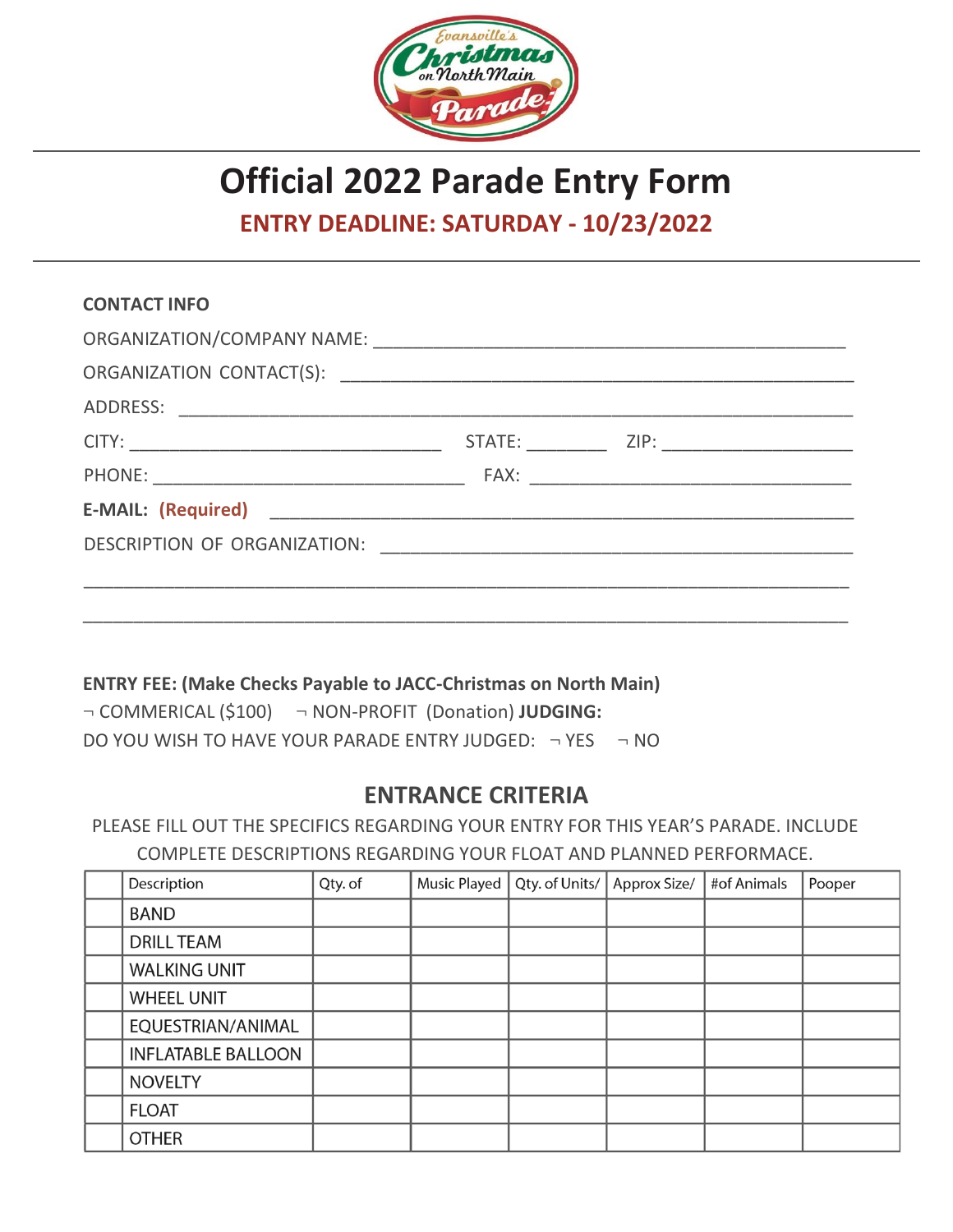

# **Official 2022 Parade Entry Form**

**ENTRY DEADLINE: SATURDAY - 10/23/2022**

| <b>CONTACT INFO</b> |  |  |
|---------------------|--|--|
|                     |  |  |
|                     |  |  |
|                     |  |  |
|                     |  |  |
|                     |  |  |
|                     |  |  |
|                     |  |  |
|                     |  |  |
|                     |  |  |
|                     |  |  |

### **ENTRY FEE: (Make Checks Payable to JACC-Christmas on North Main)** ¬ COMMERICAL (\$100) ¬ NON-PROFIT (Donation) **JUDGING:** DO YOU WISH TO HAVE YOUR PARADE ENTRY JUDGED: ¬ YES ¬ NO

## **ENTRANCE CRITERIA**

PLEASE FILL OUT THE SPECIFICS REGARDING YOUR ENTRY FOR THIS YEAR'S PARADE. INCLUDE COMPLETE DESCRIPTIONS REGARDING YOUR FLOAT AND PLANNED PERFORMACE.

| Description               | Qty. of | <b>Music Played</b> | Qty. of Units/ | Approx Size/ | #of Animals | Pooper |
|---------------------------|---------|---------------------|----------------|--------------|-------------|--------|
| <b>BAND</b>               |         |                     |                |              |             |        |
| <b>DRILL TEAM</b>         |         |                     |                |              |             |        |
| <b>WALKING UNIT</b>       |         |                     |                |              |             |        |
| <b>WHEEL UNIT</b>         |         |                     |                |              |             |        |
| EQUESTRIAN/ANIMAL         |         |                     |                |              |             |        |
| <b>INFLATABLE BALLOON</b> |         |                     |                |              |             |        |
| <b>NOVELTY</b>            |         |                     |                |              |             |        |
| <b>FLOAT</b>              |         |                     |                |              |             |        |
| <b>OTHER</b>              |         |                     |                |              |             |        |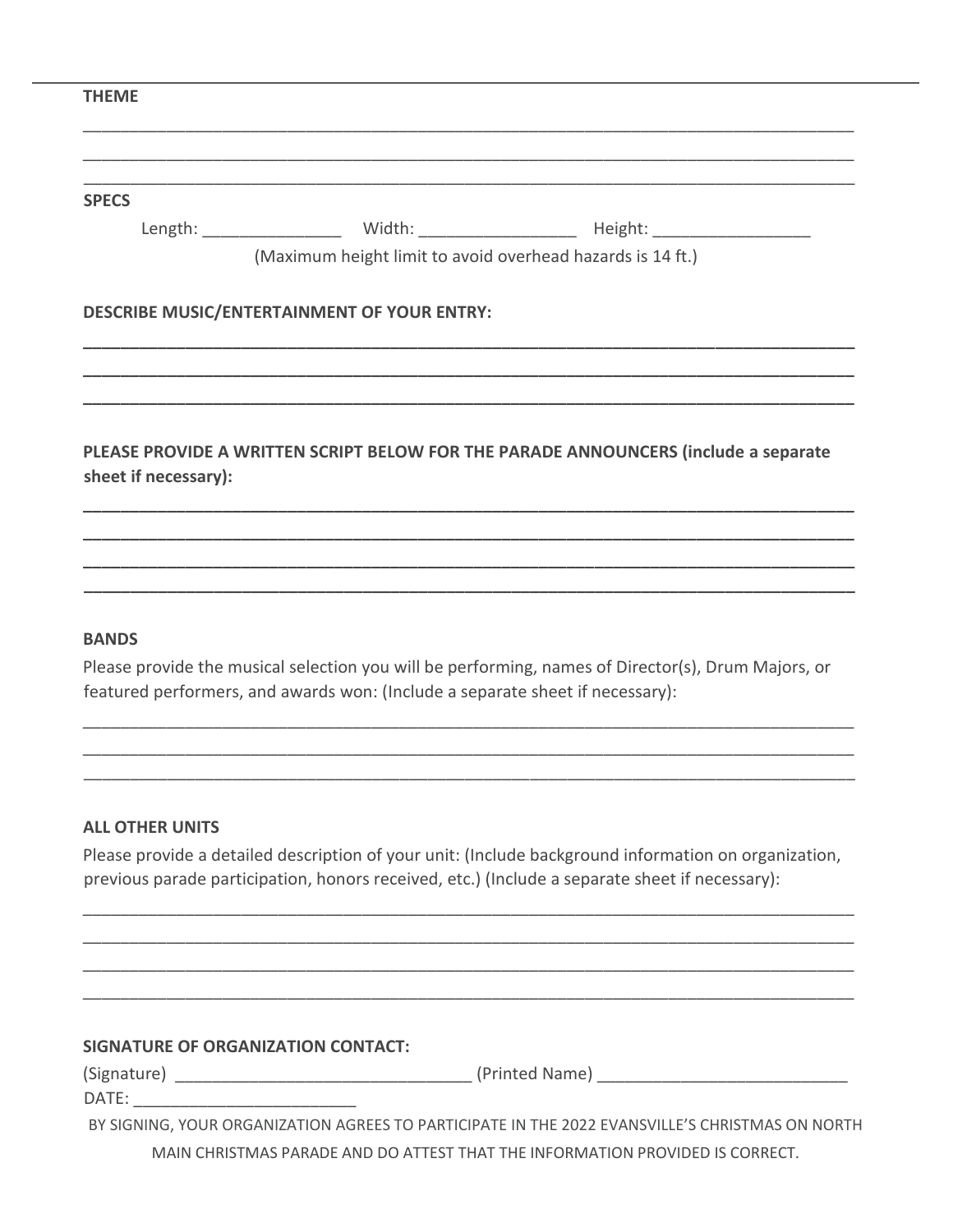| <b>SPECS</b><br><b>DESCRIBE MUSIC/ENTERTAINMENT OF YOUR ENTRY:</b><br>PLEASE PROVIDE A WRITTEN SCRIPT BELOW FOR THE PARADE ANNOUNCERS (include a separate<br>sheet if necessary):                                                | (Maximum height limit to avoid overhead hazards is 14 ft.) |
|----------------------------------------------------------------------------------------------------------------------------------------------------------------------------------------------------------------------------------|------------------------------------------------------------|
|                                                                                                                                                                                                                                  |                                                            |
|                                                                                                                                                                                                                                  |                                                            |
|                                                                                                                                                                                                                                  |                                                            |
|                                                                                                                                                                                                                                  |                                                            |
|                                                                                                                                                                                                                                  |                                                            |
|                                                                                                                                                                                                                                  |                                                            |
|                                                                                                                                                                                                                                  |                                                            |
|                                                                                                                                                                                                                                  |                                                            |
| <b>BANDS</b>                                                                                                                                                                                                                     |                                                            |
| Please provide the musical selection you will be performing, names of Director(s), Drum Majors, or<br>featured performers, and awards won: (Include a separate sheet if necessary):                                              |                                                            |
|                                                                                                                                                                                                                                  |                                                            |
| <b>ALL OTHER UNITS</b><br>Please provide a detailed description of your unit: (Include background information on organization,<br>previous parade participation, honors received, etc.) (Include a separate sheet if necessary): |                                                            |
|                                                                                                                                                                                                                                  |                                                            |
| <b>SIGNATURE OF ORGANIZATION CONTACT:</b>                                                                                                                                                                                        |                                                            |

BY SIGNING, YOUR ORGANIZATION AGREES TO PARTICIPATE IN THE 2022 EVANSVILLE'S CHRISTMAS ON NORTH MAIN CHRISTMAS PARADE AND DO ATTEST THAT THE INFORMATION PROVIDED IS CORRECT.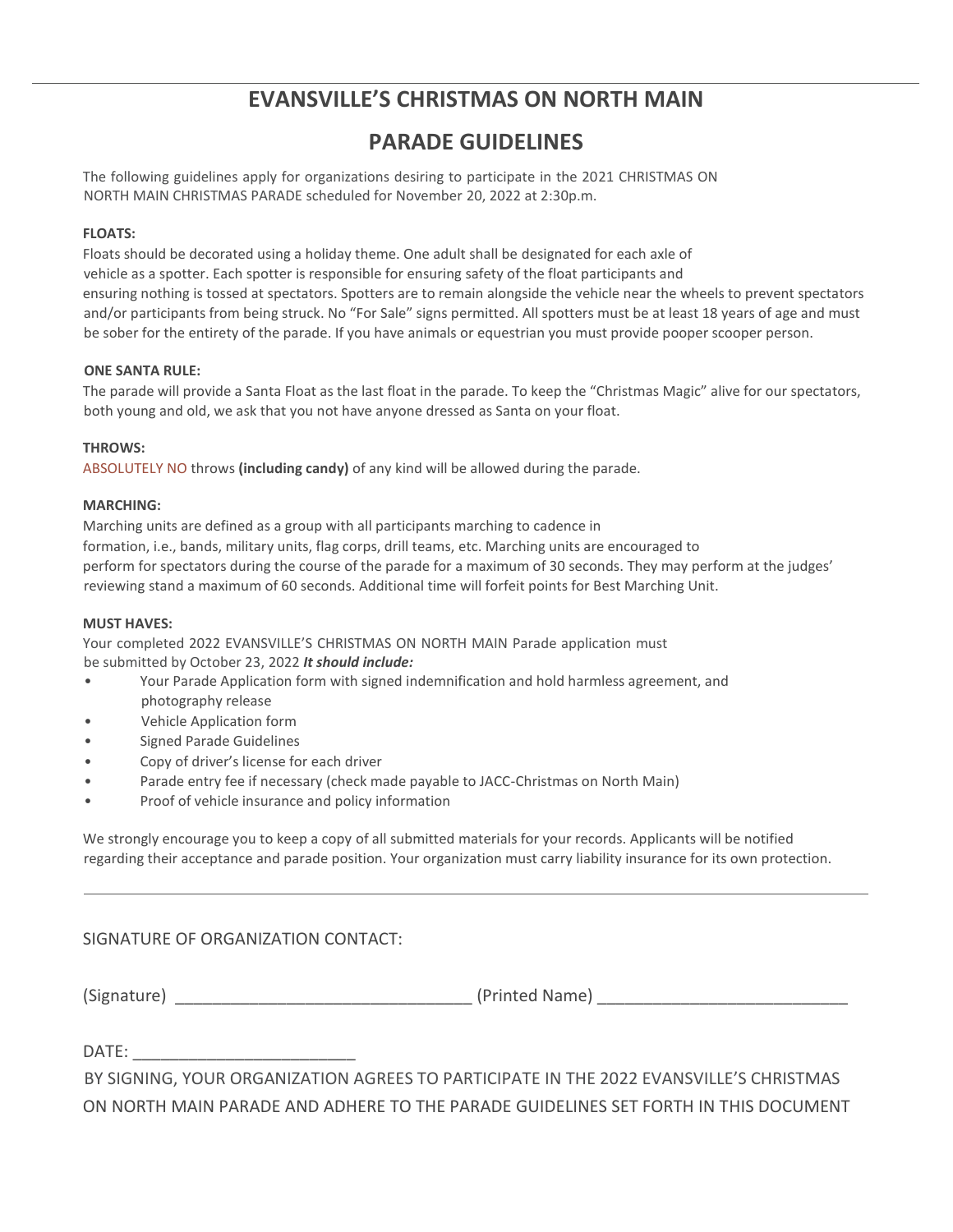## **EVANSVILLE'S CHRISTMAS ON NORTH MAIN**

## **PARADE GUIDELINES**

The following guidelines apply for organizations desiring to participate in the 2021 CHRISTMAS ON NORTH MAIN CHRISTMAS PARADE scheduled for November 20, 2022 at 2:30p.m.

#### **FLOATS:**

Floats should be decorated using a holiday theme. One adult shall be designated for each axle of vehicle as a spotter. Each spotter is responsible for ensuring safety of the float participants and ensuring nothing is tossed at spectators. Spotters are to remain alongside the vehicle near the wheels to prevent spectators and/or participants from being struck. No "For Sale" signs permitted. All spotters must be at least 18 years of age and must be sober for the entirety of the parade. If you have animals or equestrian you must provide pooper scooper person.

#### **ONE SANTA RULE:**

The parade will provide a Santa Float as the last float in the parade. To keep the "Christmas Magic" alive for our spectators, both young and old, we ask that you not have anyone dressed as Santa on your float.

#### **THROWS:**

ABSOLUTELY NO throws **(including candy)** of any kind will be allowed during the parade.

#### **MARCHING:**

Marching units are defined as a group with all participants marching to cadence in formation, i.e., bands, military units, flag corps, drill teams, etc. Marching units are encouraged to perform for spectators during the course of the parade for a maximum of 30 seconds. They may perform at the judges' reviewing stand a maximum of 60 seconds. Additional time will forfeit points for Best Marching Unit.

#### **MUST HAVES:**

Your completed 2022 EVANSVILLE'S CHRISTMAS ON NORTH MAIN Parade application must be submitted by October 23, 2022 *It should include:*

- Your Parade Application form with signed indemnification and hold harmless agreement, and photography release
- Vehicle Application form
- Signed Parade Guidelines
- Copy of driver's license for each driver
- Parade entry fee if necessary (check made payable to JACC-Christmas on North Main)
- Proof of vehicle insurance and policy information

We strongly encourage you to keep a copy of all submitted materials for your records. Applicants will be notified regarding their acceptance and parade position. Your organization must carry liability insurance for its own protection.

#### SIGNATURE OF ORGANIZATION CONTACT:

(Signature) and the contract of the contract (Printed Name)  $(Printed Name)$ 

DATE:

BY SIGNING, YOUR ORGANIZATION AGREES TO PARTICIPATE IN THE 2022 EVANSVILLE'S CHRISTMAS ON NORTH MAIN PARADE AND ADHERE TO THE PARADE GUIDELINES SET FORTH IN THIS DOCUMENT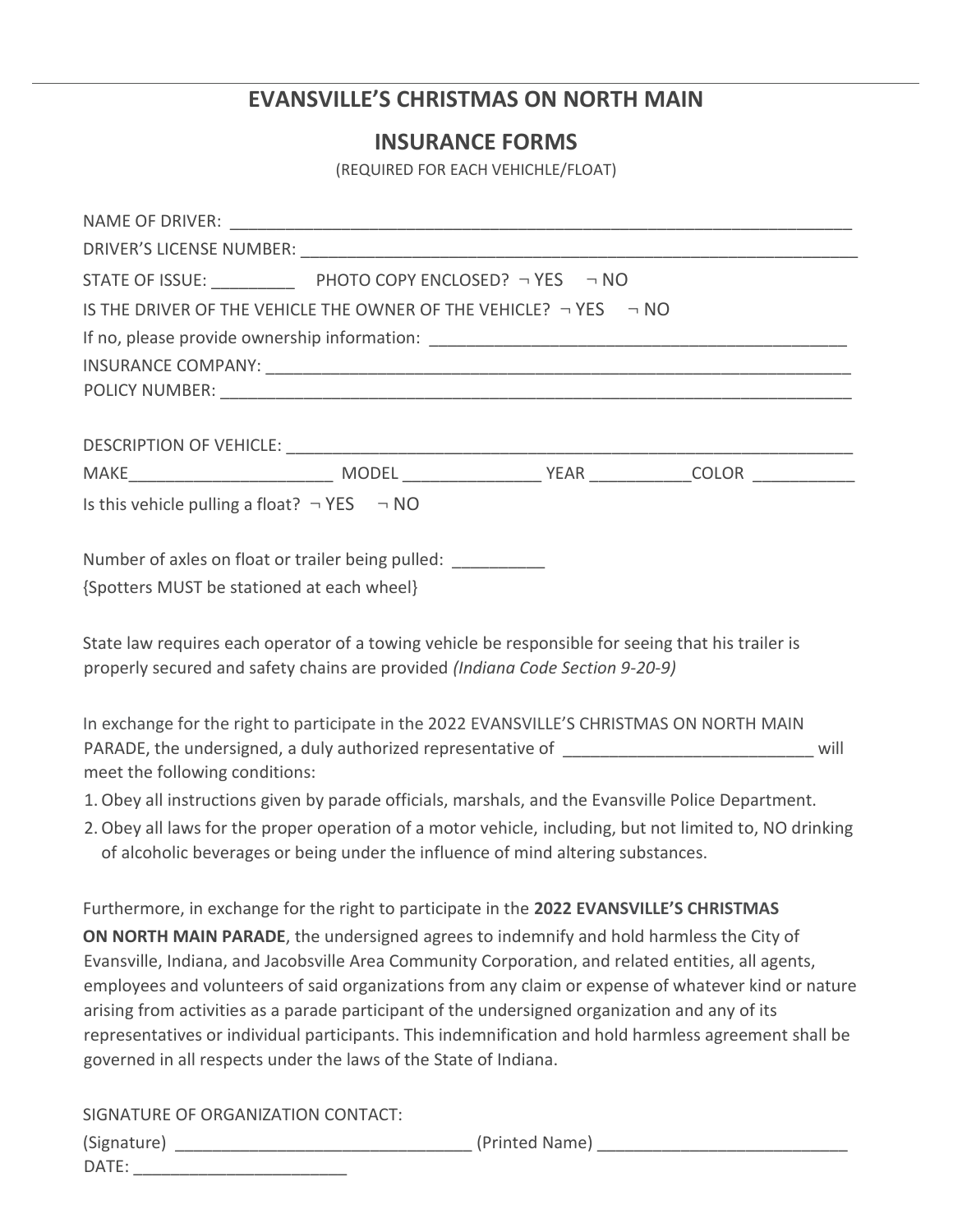## **EVANSVILLE'S CHRISTMAS ON NORTH MAIN**

### **INSURANCE FORMS**

(REQUIRED FOR EACH VEHICHLE/FLOAT)

| IS THE DRIVER OF THE VEHICLE THE OWNER OF THE VEHICLE? $\neg$ YES $\neg$ NO                        |  |  |  |  |
|----------------------------------------------------------------------------------------------------|--|--|--|--|
|                                                                                                    |  |  |  |  |
|                                                                                                    |  |  |  |  |
|                                                                                                    |  |  |  |  |
|                                                                                                    |  |  |  |  |
|                                                                                                    |  |  |  |  |
|                                                                                                    |  |  |  |  |
| Is this vehicle pulling a float? $\neg$ YES $\neg$ NO                                              |  |  |  |  |
|                                                                                                    |  |  |  |  |
| Number of axles on float or trailer being pulled: __________                                       |  |  |  |  |
| {Spotters MUST be stationed at each wheel}                                                         |  |  |  |  |
|                                                                                                    |  |  |  |  |
| State law requires each operator of a towing vehicle be responsible for seeing that his trailer is |  |  |  |  |
| properly secured and safety chains are provided (Indiana Code Section 9-20-9)                      |  |  |  |  |

In exchange for the right to participate in the 2022 EVANSVILLE'S CHRISTMAS ON NORTH MAIN PARADE, the undersigned, a duly authorized representative of  $\blacksquare$ meet the following conditions:

1. Obey all instructions given by parade officials, marshals, and the Evansville Police Department.

2. Obey all laws for the proper operation of a motor vehicle, including, but not limited to, NO drinking of alcoholic beverages or being under the influence of mind altering substances.

Furthermore, in exchange for the right to participate in the **2022 EVANSVILLE'S CHRISTMAS ON NORTH MAIN PARADE**, the undersigned agrees to indemnify and hold harmless the City of Evansville, Indiana, and Jacobsville Area Community Corporation, and related entities, all agents, employees and volunteers of said organizations from any claim or expense of whatever kind or nature arising from activities as a parade participant of the undersigned organization and any of its representatives or individual participants. This indemnification and hold harmless agreement shall be governed in all respects under the laws of the State of Indiana.

SIGNATURE OF ORGANIZATION CONTACT:

| $\sim$<br>-<br>____                                      |  |
|----------------------------------------------------------|--|
| <b>DAT</b><br>້<br>_______________<br>__________________ |  |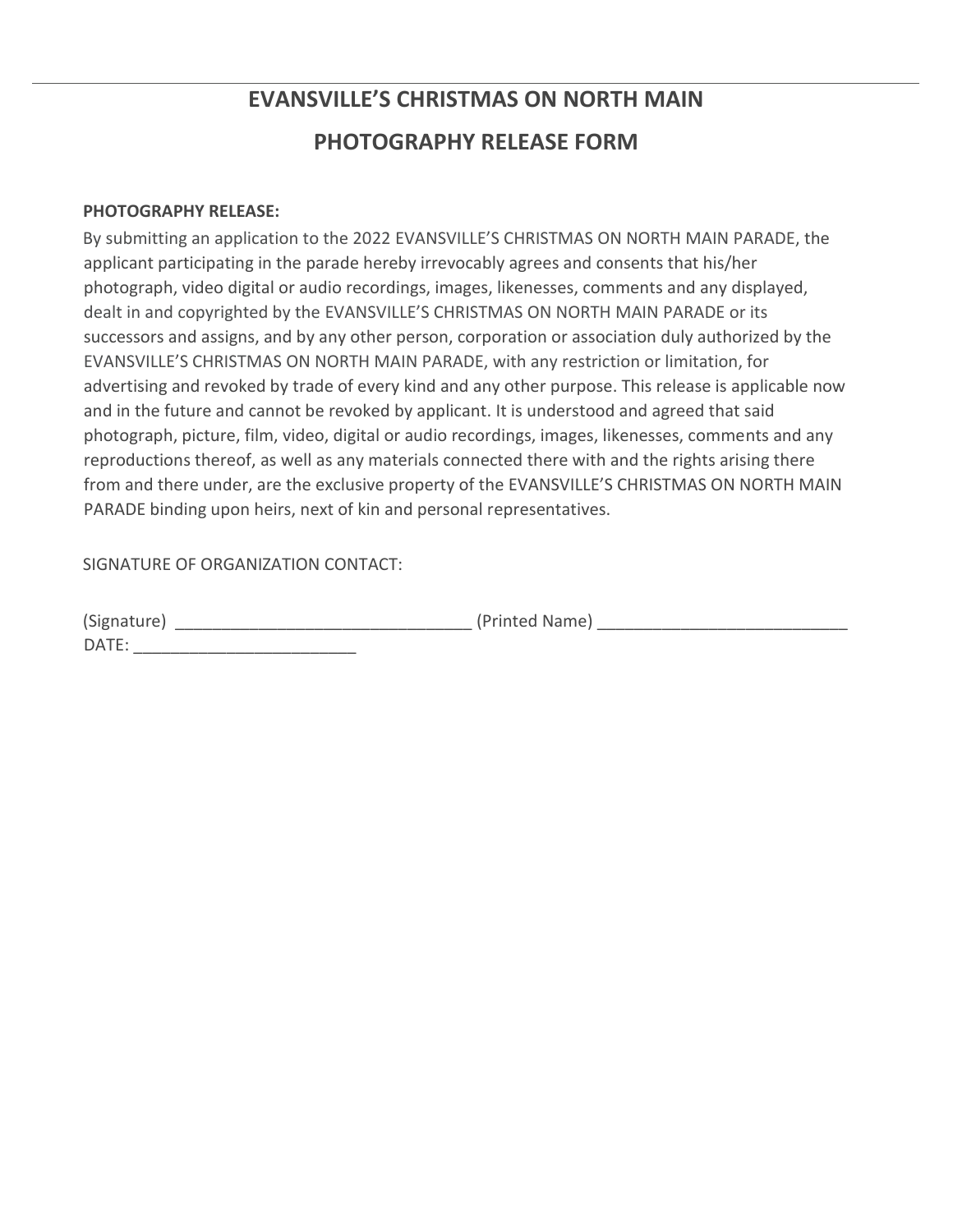## **EVANSVILLE'S CHRISTMAS ON NORTH MAIN PHOTOGRAPHY RELEASE FORM**

#### **PHOTOGRAPHY RELEASE:**

By submitting an application to the 2022 EVANSVILLE'S CHRISTMAS ON NORTH MAIN PARADE, the applicant participating in the parade hereby irrevocably agrees and consents that his/her photograph, video digital or audio recordings, images, likenesses, comments and any displayed, dealt in and copyrighted by the EVANSVILLE'S CHRISTMAS ON NORTH MAIN PARADE or its successors and assigns, and by any other person, corporation or association duly authorized by the EVANSVILLE'S CHRISTMAS ON NORTH MAIN PARADE, with any restriction or limitation, for advertising and revoked by trade of every kind and any other purpose. This release is applicable now and in the future and cannot be revoked by applicant. It is understood and agreed that said photograph, picture, film, video, digital or audio recordings, images, likenesses, comments and any reproductions thereof, as well as any materials connected there with and the rights arising there from and there under, are the exclusive property of the EVANSVILLE'S CHRISTMAS ON NORTH MAIN PARADE binding upon heirs, next of kin and personal representatives.

SIGNATURE OF ORGANIZATION CONTACT:

| (Signature)                   | 'Printer<br>uvame. |  |
|-------------------------------|--------------------|--|
| <b>DATE</b><br>______________ |                    |  |